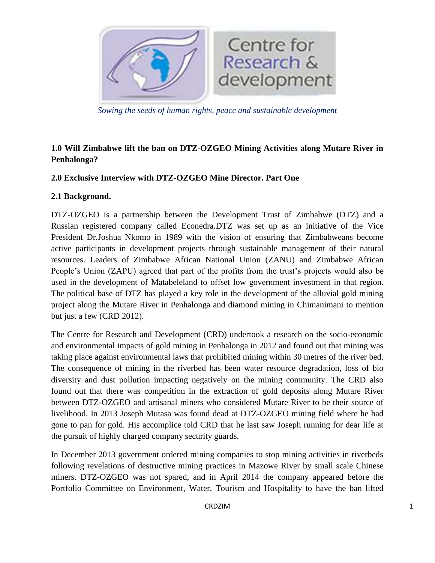

*Sowing the seeds of human rights, peace and sustainable development*

# **1.0 Will Zimbabwe lift the ban on DTZ-OZGEO Mining Activities along Mutare River in Penhalonga?**

## **2.0 Exclusive Interview with DTZ-OZGEO Mine Director. Part One**

#### **2.1 Background.**

DTZ-OZGEO is a partnership between the Development Trust of Zimbabwe (DTZ) and a Russian registered company called Econedra.DTZ was set up as an initiative of the Vice President Dr.Joshua Nkomo in 1989 with the vision of ensuring that Zimbabweans become active participants in development projects through sustainable management of their natural resources. Leaders of Zimbabwe African National Union (ZANU) and Zimbabwe African People's Union (ZAPU) agreed that part of the profits from the trust's projects would also be used in the development of Matabeleland to offset low government investment in that region. The political base of DTZ has played a key role in the development of the alluvial gold mining project along the Mutare River in Penhalonga and diamond mining in Chimanimani to mention but just a few (CRD 2012).

The Centre for Research and Development (CRD) undertook a research on the socio-economic and environmental impacts of gold mining in Penhalonga in 2012 and found out that mining was taking place against environmental laws that prohibited mining within 30 metres of the river bed. The consequence of mining in the riverbed has been water resource degradation, loss of bio diversity and dust pollution impacting negatively on the mining community. The CRD also found out that there was competition in the extraction of gold deposits along Mutare River between DTZ-OZGEO and artisanal miners who considered Mutare River to be their source of livelihood. In 2013 Joseph Mutasa was found dead at DTZ-OZGEO mining field where he had gone to pan for gold. His accomplice told CRD that he last saw Joseph running for dear life at the pursuit of highly charged company security guards.

In December 2013 government ordered mining companies to stop mining activities in riverbeds following revelations of destructive mining practices in Mazowe River by small scale Chinese miners. DTZ-OZGEO was not spared, and in April 2014 the company appeared before the Portfolio Committee on Environment, Water, Tourism and Hospitality to have the ban lifted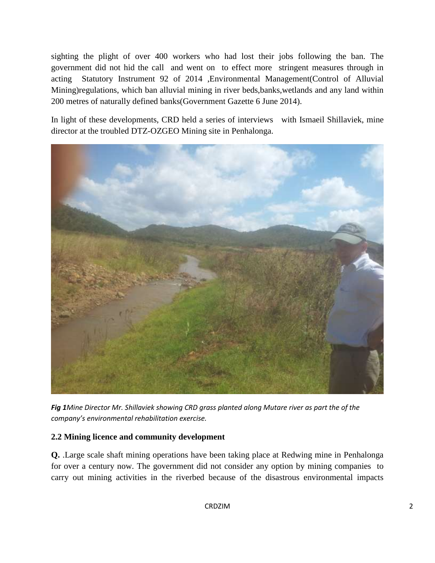sighting the plight of over 400 workers who had lost their jobs following the ban. The government did not hid the call and went on to effect more stringent measures through in acting Statutory Instrument 92 of 2014 ,Environmental Management(Control of Alluvial Mining)regulations, which ban alluvial mining in river beds,banks,wetlands and any land within 200 metres of naturally defined banks(Government Gazette 6 June 2014).

In light of these developments, CRD held a series of interviews with Ismaeil Shillaviek, mine director at the troubled DTZ-OZGEO Mining site in Penhalonga.



*Fig 1Mine Director Mr. Shillaviek showing CRD grass planted along Mutare river as part the of the company's environmental rehabilitation exercise.*

### **2.2 Mining licence and community development**

**Q.** .Large scale shaft mining operations have been taking place at Redwing mine in Penhalonga for over a century now. The government did not consider any option by mining companies to carry out mining activities in the riverbed because of the disastrous environmental impacts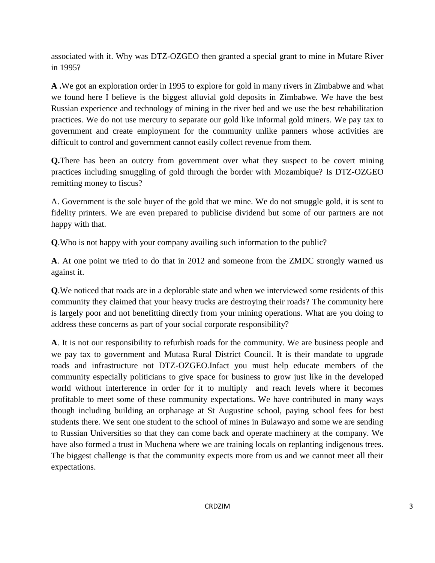associated with it. Why was DTZ-OZGEO then granted a special grant to mine in Mutare River in 1995?

**A .**We got an exploration order in 1995 to explore for gold in many rivers in Zimbabwe and what we found here I believe is the biggest alluvial gold deposits in Zimbabwe. We have the best Russian experience and technology of mining in the river bed and we use the best rehabilitation practices. We do not use mercury to separate our gold like informal gold miners. We pay tax to government and create employment for the community unlike panners whose activities are difficult to control and government cannot easily collect revenue from them.

**Q.**There has been an outcry from government over what they suspect to be covert mining practices including smuggling of gold through the border with Mozambique? Is DTZ-OZGEO remitting money to fiscus?

A. Government is the sole buyer of the gold that we mine. We do not smuggle gold, it is sent to fidelity printers. We are even prepared to publicise dividend but some of our partners are not happy with that.

**Q**.Who is not happy with your company availing such information to the public?

**A**. At one point we tried to do that in 2012 and someone from the ZMDC strongly warned us against it.

**Q**.We noticed that roads are in a deplorable state and when we interviewed some residents of this community they claimed that your heavy trucks are destroying their roads? The community here is largely poor and not benefitting directly from your mining operations. What are you doing to address these concerns as part of your social corporate responsibility?

**A**. It is not our responsibility to refurbish roads for the community. We are business people and we pay tax to government and Mutasa Rural District Council. It is their mandate to upgrade roads and infrastructure not DTZ-OZGEO.Infact you must help educate members of the community especially politicians to give space for business to grow just like in the developed world without interference in order for it to multiply and reach levels where it becomes profitable to meet some of these community expectations. We have contributed in many ways though including building an orphanage at St Augustine school, paying school fees for best students there. We sent one student to the school of mines in Bulawayo and some we are sending to Russian Universities so that they can come back and operate machinery at the company. We have also formed a trust in Muchena where we are training locals on replanting indigenous trees. The biggest challenge is that the community expects more from us and we cannot meet all their expectations.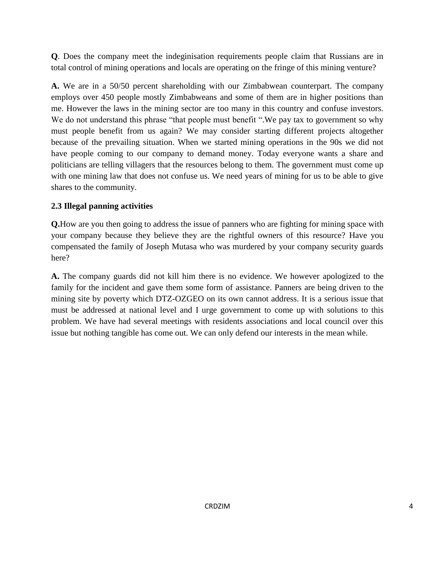**Q**. Does the company meet the indeginisation requirements people claim that Russians are in total control of mining operations and locals are operating on the fringe of this mining venture?

**A.** We are in a 50/50 percent shareholding with our Zimbabwean counterpart. The company employs over 450 people mostly Zimbabweans and some of them are in higher positions than me. However the laws in the mining sector are too many in this country and confuse investors. We do not understand this phrase "that people must benefit ". We pay tax to government so why must people benefit from us again? We may consider starting different projects altogether because of the prevailing situation. When we started mining operations in the 90s we did not have people coming to our company to demand money. Today everyone wants a share and politicians are telling villagers that the resources belong to them. The government must come up with one mining law that does not confuse us. We need years of mining for us to be able to give shares to the community.

### **2.3 Illegal panning activities**

**Q.**How are you then going to address the issue of panners who are fighting for mining space with your company because they believe they are the rightful owners of this resource? Have you compensated the family of Joseph Mutasa who was murdered by your company security guards here?

**A.** The company guards did not kill him there is no evidence. We however apologized to the family for the incident and gave them some form of assistance. Panners are being driven to the mining site by poverty which DTZ-OZGEO on its own cannot address. It is a serious issue that must be addressed at national level and I urge government to come up with solutions to this problem. We have had several meetings with residents associations and local council over this issue but nothing tangible has come out. We can only defend our interests in the mean while.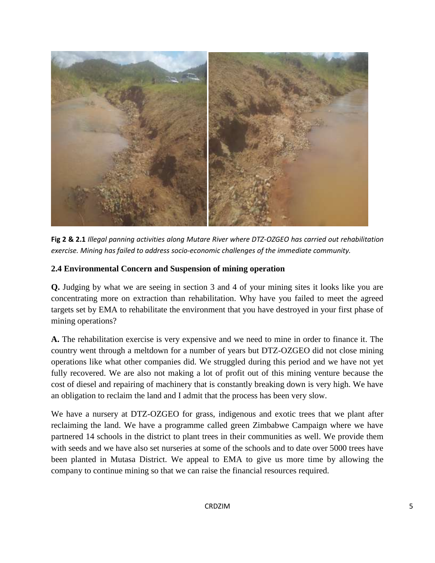

**Fig 2 & 2.1** *Illegal panning activities along Mutare River where DTZ-OZGEO has carried out rehabilitation exercise. Mining has failed to address socio-economic challenges of the immediate community.*

#### **2.4 Environmental Concern and Suspension of mining operation**

**Q.** Judging by what we are seeing in section 3 and 4 of your mining sites it looks like you are concentrating more on extraction than rehabilitation. Why have you failed to meet the agreed targets set by EMA to rehabilitate the environment that you have destroyed in your first phase of mining operations?

**A.** The rehabilitation exercise is very expensive and we need to mine in order to finance it. The country went through a meltdown for a number of years but DTZ-OZGEO did not close mining operations like what other companies did. We struggled during this period and we have not yet fully recovered. We are also not making a lot of profit out of this mining venture because the cost of diesel and repairing of machinery that is constantly breaking down is very high. We have an obligation to reclaim the land and I admit that the process has been very slow.

We have a nursery at DTZ-OZGEO for grass, indigenous and exotic trees that we plant after reclaiming the land. We have a programme called green Zimbabwe Campaign where we have partnered 14 schools in the district to plant trees in their communities as well. We provide them with seeds and we have also set nurseries at some of the schools and to date over 5000 trees have been planted in Mutasa District. We appeal to EMA to give us more time by allowing the company to continue mining so that we can raise the financial resources required.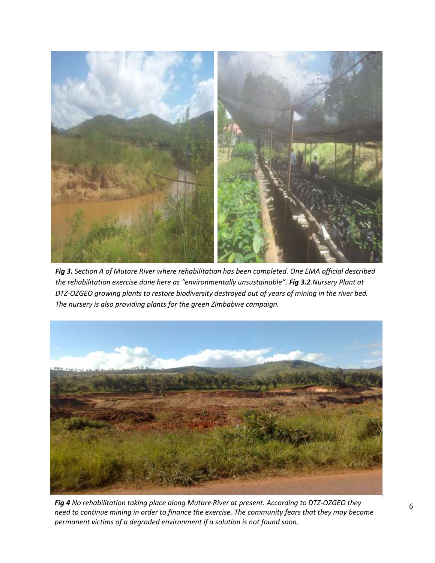

*Fig 3. Section A of Mutare River where rehabilitation has been completed. One EMA official described the rehabilitation exercise done here as "environmentally unsustainable". Fig 3.2.Nursery Plant at DTZ-OZGEO growing plants to restore biodiversity destroyed out of years of mining in the river bed. The nursery is also providing plants for the green Zimbabwe campaign.*



*Fig 4* No rehabilitation taking place along Mutare River at present. According to DTZ-OZGEO they  $6$ *need to continue mining in order to finance the exercise. The community fears that they may become permanent victims of a degraded environment if a solution is not found soon*.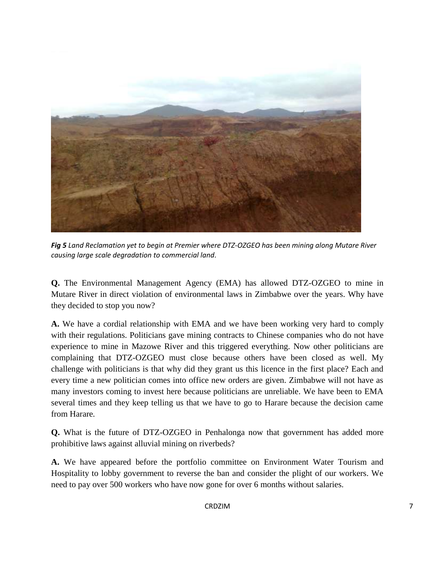

*Fig 5 Land Reclamation yet to begin at Premier where DTZ-OZGEO has been mining along Mutare River causing large scale degradation to commercial land*.

**Q.** The Environmental Management Agency (EMA) has allowed DTZ-OZGEO to mine in Mutare River in direct violation of environmental laws in Zimbabwe over the years. Why have they decided to stop you now?

**A.** We have a cordial relationship with EMA and we have been working very hard to comply with their regulations. Politicians gave mining contracts to Chinese companies who do not have experience to mine in Mazowe River and this triggered everything. Now other politicians are complaining that DTZ-OZGEO must close because others have been closed as well. My challenge with politicians is that why did they grant us this licence in the first place? Each and every time a new politician comes into office new orders are given. Zimbabwe will not have as many investors coming to invest here because politicians are unreliable. We have been to EMA several times and they keep telling us that we have to go to Harare because the decision came from Harare.

**Q.** What is the future of DTZ-OZGEO in Penhalonga now that government has added more prohibitive laws against alluvial mining on riverbeds?

**A.** We have appeared before the portfolio committee on Environment Water Tourism and Hospitality to lobby government to reverse the ban and consider the plight of our workers. We need to pay over 500 workers who have now gone for over 6 months without salaries.